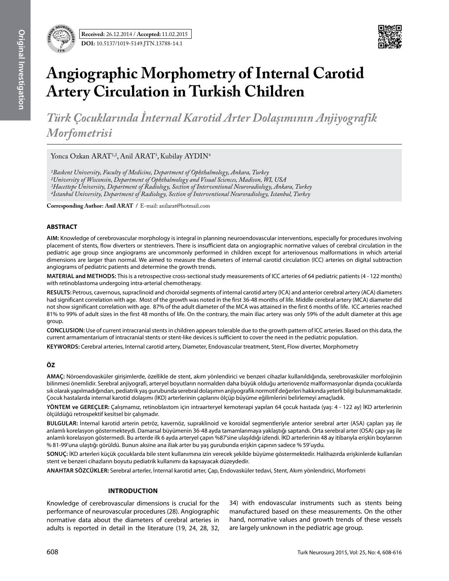

# **Angiographic Morphometry of Internal Carotid Artery Circulation in Turkish Children**

*Türk Çocuklarında İnternal Karotid Arter Dolaşımının Anjiyografik Morfometrisi* 

Yonca Ozkan ARAT<sup>1,2</sup>, Anil ARAT<sup>3</sup>, Kubilay AYDIN<sup>4</sup>

*1Baskent University, Faculty of Medicine, Department of Ophthalmology, Ankara, Turkey 2University of Wisconsin, Department of Ophthalmology and Visual Sciences, Madison, WI, USA 3Hacettepe University, Department of Radiology, Section of Interventional Neuroradiology, Ankara, Turkey 4İstanbul University, Department of Radiology, Section of Interventional Neuroradiology, Istanbul, Turkey*

**Corresponding Author: Anil Arat /** E-mail: anilarat@hotmail.com

#### **ABSTRACT**

**AIm:** Knowledge of cerebrovascular morphology is integral in planning neuroendovascular interventions, especially for procedures involving placement of stents, flow diverters or stentrievers. There is insufficient data on angiographic normative values of cerebral circulation in the pediatric age group since angiograms are uncommonly performed in children except for arteriovenous malformations in which arterial dimensions are larger than normal. We aimed to measure the diameters of internal carotid circulation (ICC) arteries on digital subtraction angiograms of pediatric patients and determine the growth trends.

**MaterIal and Methods:** This is a retrospective cross-sectional study measurements of ICC arteries of 64 pediatric patients (4 - 122 months) with retinoblastoma undergoing intra-arterial chemotherapy.

**Results:** Petrous, cavernous, supraclinoid and choroidal segments of internal carotid artery (ICA) and anterior cerebral artery (ACA) diameters had significant correlation with age. Most of the growth was noted in the first 36-48 months of life. Middle cerebral artery (MCA) diameter did not show significant correlation with age. 87% of the adult diameter of the MCA was attained in the first 6 months of life. ICC arteries reached 81% to 99% of adult sizes in the first 48 months of life. On the contrary, the main iliac artery was only 59% of the adult diameter at this age group.

**ConclusIon:** Use of current intracranial stents in children appears tolerable due to the growth pattern of ICC arteries. Based on this data, the current armamentarium of intracranial stents or stent-like devices is sufficient to cover the need in the pediatric population.

**Keywords:** Cerebral arteries, Internal carotid artery, Diameter, Endovascular treatment, Stent, Flow diverter, Morphometry

# **ÖZ**

**AMAÇ:** Nöroendovasküler girişimlerde, özellikle de stent, akım yönlendirici ve benzeri cihazlar kullanıldığında, serebrovasküler morfolojinin bilinmesi önemlidir. Serebral anjiyografi, arteryel boyutların normalden daha büyük olduğu arteriovenöz malformasyonlar dışında çocuklarda sık olarak yapılmadığından, pediatrik yaş gurubunda serebral dolaşımın anjiyografik normotif değerleri hakkında yeterli bilgi bulunmamaktadır. Çocuk hastalarda internal karotid dolaşımı (İKD) arterlerinin çaplarını ölçüp büyüme eğilimlerini belirlemeyi amaçladık.

**YÖNTEM ve GEREÇLER:** Çalışmamız, retinoblastom için intraarteryel kemoterapi yapılan 64 çocuk hastada (yaş: 4 - 122 ay) İKD arterlerinin ölçüldüğü retrospektif kesitsel bir çalışmadır.

**BULGULAR:** İnternal karotid arterin petröz, kavernöz, supraklinoid ve koroidal segmentleriyle anterior serebral arter (ASA) çapları yaş ile anlamlı korelasyon göstermekteydi. Damarsal büyümenin 36-48 ayda tamamlanmaya yaklaştığı saptandı. Orta serebral arter (OSA) çapı yaş ile anlamlı korelasyon göstermedi. Bu arterde ilk 6 ayda arteryel çapın %87'sine ulaşıldığı izlendi. İKD arterlerinin 48 ay itibarıyla erişkin boylarının % 81-99'una ulaştığı görüldü. Bunun aksine ana iliak arter bu yaş gurubunda erişkin çapının sadece % 59'uydu.

**SONUÇ:** İKD arterleri küçük çocuklarda bile stent kullanımına izin verecek şekilde büyüme göstermektedir. Halihazırda erişkinlerde kullanılan stent ve benzeri cihazların boyutu pediatrik kullanımı da kapsayacak düzeydedir.

**ANAHTAR SÖZCÜKLER:** Serebral arterler, İnternal karotid arter, Çap, Endovasküler tedavi, Stent, Akım yönlendirici, Morfometri

## **Introduction**

Knowledge of cerebrovascular dimensions is crucial for the performance of neurovascular procedures (28). Angiographic normative data about the diameters of cerebral arteries in adults is reported in detail in the literature (19, 24, 28, 32,

34) with endovascular instruments such as stents being manufactured based on these measurements. On the other hand, normative values and growth trends of these vessels are largely unknown in the pediatric age group.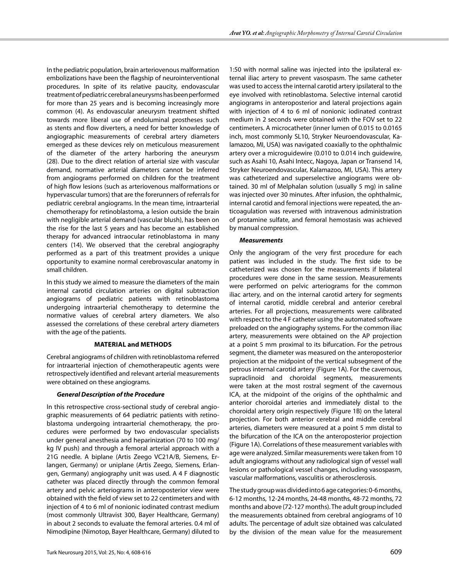In the pediatric population, brain arteriovenous malformation embolizations have been the flagship of neurointerventional procedures. In spite of its relative paucity, endovascular treatment of pediatric cerebral aneurysms has been performed for more than 25 years and is becoming increasingly more common (4). As endovascular aneurysm treatment shifted towards more liberal use of endoluminal prostheses such as stents and flow diverters, a need for better knowledge of angiographic measurements of cerebral artery diameters emerged as these devices rely on meticulous measurement of the diameter of the artery harboring the aneurysm (28). Due to the direct relation of arterial size with vascular demand, normative arterial diameters cannot be inferred from angiograms performed on children for the treatment of high flow lesions (such as arteriovenous malformations or hypervascular tumors) that are the forerunners of referrals for pediatric cerebral angiograms. In the mean time, intraarterial chemotherapy for retinoblastoma, a lesion outside the brain with negligible arterial demand (vascular blush), has been on the rise for the last 5 years and has become an established therapy for advanced intraocular retinoblastoma in many centers (14). We observed that the cerebral angiography performed as a part of this treatment provides a unique opportunity to examine normal cerebrovascular anatomy in small children.

In this study we aimed to measure the diameters of the main internal carotid circulation arteries on digital subtraction angiograms of pediatric patients with retinoblastoma undergoing intraarterial chemotherapy to determine the normative values of cerebral artery diameters. We also assessed the correlations of these cerebral artery diameters with the age of the patients.

## **material and METHODS**

Cerebral angiograms of children with retinoblastoma referred for intraarterial injection of chemotherapeutic agents were retrospectively identified and relevant arterial measurements were obtained on these angiograms.

# *General Description of the Procedure*

In this retrospective cross-sectional study of cerebral angiographic measurements of 64 pediatric patients with retinoblastoma undergoing intraarterial chemotherapy, the procedures were performed by two endovascular specialists under general anesthesia and heparinization (70 to 100 mg/ kg IV push) and through a femoral arterial approach with a 21G needle. A biplane (Artis Zeego VC21A/B, Siemens, Erlangen, Germany) or uniplane (Artis Zeego, Siemens, Erlangen, Germany) angiography unit was used. A 4 F diagnostic catheter was placed directly through the common femoral artery and pelvic arteriograms in anteroposterior view were obtained with the field of view set to 22 centimeters and with injection of 4 to 6 ml of nonionic iodinated contrast medium (most commonly Ultravist 300, Bayer Healthcare, Germany) in about 2 seconds to evaluate the femoral arteries. 0.4 ml of Nimodipine (Nimotop, Bayer Healthcare, Germany) diluted to

1:50 with normal saline was injected into the ipsilateral external iliac artery to prevent vasospasm. The same catheter was used to access the internal carotid artery ipsilateral to the eye involved with retinoblastoma. Selective internal carotid angiograms in anteroposterior and lateral projections again with injection of 4 to 6 ml of nonionic iodinated contrast medium in 2 seconds were obtained with the FOV set to 22 centimeters. A microcatheter (inner lumen of 0.015 to 0.0165 inch, most commonly SL10, Stryker Neuroendovascular, Kalamazoo, MI, USA) was navigated coaxially to the ophthalmic artery over a microguidewire (0.010 to 0.014 inch guidewire, such as Asahi 10, Asahi Intecc, Nagoya, Japan or Transend 14, Stryker Neuroendovascular, Kalamazoo, MI, USA). This artery was catheterized and superselective angiograms were obtained. 30 ml of Melphalan solution (usually 5 mg) in saline was injected over 30 minutes. After infusion, the ophthalmic, internal carotid and femoral injections were repeated, the anticoagulation was reversed with intravenous administration of protamine sulfate, and femoral hemostasis was achieved by manual compression.

# *Measurements*

Only the angiogram of the very first procedure for each patient was included in the study. The first side to be catheterized was chosen for the measurements if bilateral procedures were done in the same session. Measurements were performed on pelvic arteriograms for the common iliac artery, and on the internal carotid artery for segments of internal carotid, middle cerebral and anterior cerebral arteries. For all projections, measurements were calibrated with respect to the 4 F catheter using the automated software preloaded on the angiography systems. For the common iliac artery, measurements were obtained on the AP projection at a point 5 mm proximal to its bifurcation. For the petrous segment, the diameter was measured on the anteroposterior projection at the midpoint of the vertical subsegment of the petrous internal carotid artery (Figure 1A). For the cavernous, supraclinoid and choroidal segments, measurements were taken at the most rostral segment of the cavernous ICA, at the midpoint of the origins of the ophthalmic and anterior choroidal arteries and immediately distal to the choroidal artery origin respectively (Figure 1B) on the lateral projection. For both anterior cerebral and middle cerebral arteries, diameters were measured at a point 5 mm distal to the bifurcation of the ICA on the anteroposterior projection (Figure 1A). Correlations of these measurement variables with age were analyzed. Similar measurements were taken from 10 adult angiograms without any radiological sign of vessel wall lesions or pathological vessel changes, including vasospasm, vascular malformations, vasculitis or atherosclerosis.

The study group was divided into 6 age categories: 0-6 months, 6-12 months, 12-24 months, 24-48 months, 48-72 months, 72 months and above (72-127 months). The adult group included the measurements obtained from cerebral angiograms of 10 adults. The percentage of adult size obtained was calculated by the division of the mean value for the measurement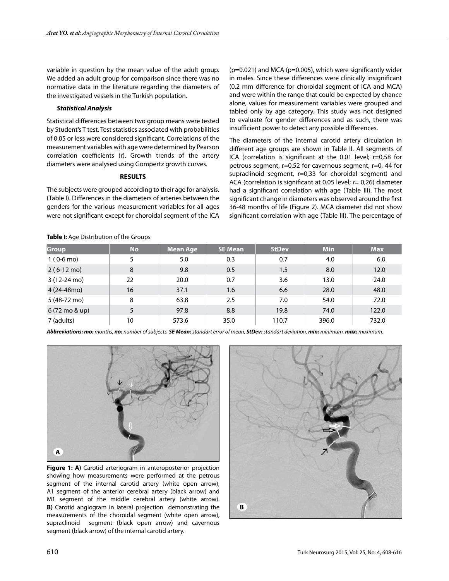variable in question by the mean value of the adult group. We added an adult group for comparison since there was no normative data in the literature regarding the diameters of the investigated vessels in the Turkish population.

## *Statistical Analysis*

Statistical differences between two group means were tested by Student's T test. Test statistics associated with probabilities of 0.05 or less were considered significant. Correlations of the measurement variables with age were determined by Pearson correlation coefficients (r). Growth trends of the artery diameters were analysed using Gompertz growth curves.

## **RESULTS**

The subjects were grouped according to their age for analysis. (Table I). Differences in the diameters of arteries between the genders for the various measurement variables for all ages were not significant except for choroidal segment of the ICA (p=0.021) and MCA (p=0.005), which were significantly wider in males. Since these differences were clinically insignificant (0.2 mm difference for choroidal segment of ICA and MCA) and were within the range that could be expected by chance alone, values for measurement variables were grouped and tabled only by age category. This study was not designed to evaluate for gender differences and as such, there was insufficient power to detect any possible differences.

The diameters of the internal carotid artery circulation in different age groups are shown in Table II. All segments of ICA (correlation is significant at the 0.01 level; r=0,58 for petrous segment, r=0,52 for cavernous segment, r=0, 44 for supraclinoid segment, r=0,33 for choroidal segment) and ACA (correlation is significant at 0.05 level; r= 0,26) diameter had a significant correlation with age (Table III). The most significant change in diameters was observed around the first 36-48 months of life (Figure 2). MCA diameter did not show significant correlation with age (Table III). The percentage of

## **Table I:** Age Distribution of the Groups

| Group                 | <b>No</b> | <b>Mean Age</b> | <b>SE Mean</b> | <b>StDev</b> | <b>Min</b> | <b>Max</b> |
|-----------------------|-----------|-----------------|----------------|--------------|------------|------------|
| $1(0-6 \text{ mo})$   | 5         | 5.0             | 0.3            | 0.7          | 4.0        | 6.0        |
| $2(6-12 \text{ mo})$  | 8         | 9.8             | 0.5            | 1.5          | 8.0        | 12.0       |
| $3(12-24 \text{ mo})$ | 22        | 20.0            | 0.7            | 3.6          | 13.0       | 24.0       |
| 4 (24-48mo)           | 16        | 37.1            | 1.6            | 6.6          | 28.0       | 48.0       |
| 5 (48-72 mo)          | 8         | 63.8            | 2.5            | 7.0          | 54.0       | 72.0       |
| 6 (72 mo & up)        | 5         | 97.8            | 8.8            | 19.8         | 74.0       | 122.0      |
| 7 (adults)            | 10        | 573.6           | 35.0           | 110.7        | 396.0      | 732.0      |

*Abbreviations: mo: months, no: number of subjects, SE Mean: standart error of mean, StDev: standart deviation, min: minimum, max: maximum.*



**Figure 1: A)** Carotid arteriogram in anteroposterior projection showing how measurements were performed at the petrous segment of the internal carotid artery (white open arrow), A1 segment of the anterior cerebral artery (black arrow) and M1 segment of the middle cerebral artery (white arrow). **B)** Carotid angiogram in lateral projection demonstrating the measurements of the choroidal segment (white open arrow), supraclinoid segment (black open arrow) and cavernous segment (black arrow) of the internal carotid artery.

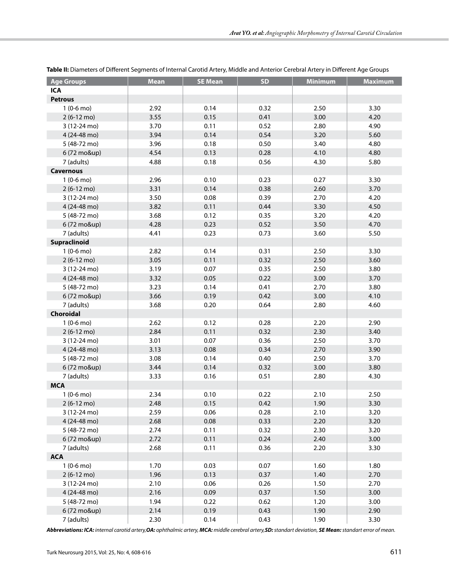| <b>Age Groups</b>     | <b>Mean</b> | <b>SE Mean</b> | <b>SD</b> | <b>Minimum</b> | <b>Maximum</b> |
|-----------------------|-------------|----------------|-----------|----------------|----------------|
| <b>ICA</b>            |             |                |           |                |                |
| <b>Petrous</b>        |             |                |           |                |                |
| $1(0-6 \text{ mo})$   | 2.92        | 0.14           | 0.32      | 2.50           | 3.30           |
| 2 (6-12 mo)           | 3.55        | 0.15           | 0.41      | 3.00           | 4.20           |
| 3 (12-24 mo)          | 3.70        | 0.11           | 0.52      | 2.80           | 4.90           |
| 4 (24-48 mo)          | 3.94        | 0.14           | 0.54      | 3.20           | 5.60           |
| 5 (48-72 mo)          | 3.96        | 0.18           | 0.50      | 3.40           | 4.80           |
| 6 (72 mo&up)          | 4.54        | 0.13           | 0.28      | 4.10           | 4.80           |
| 7 (adults)            | 4.88        | 0.18           | 0.56      | 4.30           | 5.80           |
| <b>Cavernous</b>      |             |                |           |                |                |
| $1(0-6 \text{ mo})$   | 2.96        | 0.10           | 0.23      | 0.27           | 3.30           |
| $2(6-12 \text{ mo})$  | 3.31        | 0.14           | 0.38      | 2.60           | 3.70           |
| 3 (12-24 mo)          | 3.50        | 0.08           | 0.39      | 2.70           | 4.20           |
| 4 (24-48 mo)          | 3.82        | 0.11           | 0.44      | 3.30           | 4.50           |
| 5 (48-72 mo)          | 3.68        | 0.12           | 0.35      | 3.20           | 4.20           |
| 6 (72 mo&up)          | 4.28        | 0.23           | 0.52      | 3.50           | 4.70           |
| 7 (adults)            | 4.41        | 0.23           | 0.73      | 3.60           | 5.50           |
| Supraclinoid          |             |                |           |                |                |
| $1(0-6 \text{ mo})$   | 2.82        | 0.14           | 0.31      | 2.50           | 3.30           |
| $2(6-12 \text{ mo})$  | 3.05        | 0.11           | 0.32      | 2.50           | 3.60           |
| 3 (12-24 mo)          | 3.19        | 0.07           | 0.35      | 2.50           | 3.80           |
| 4 (24-48 mo)          | 3.32        | 0.05           | 0.22      | 3.00           | 3.70           |
| 5 (48-72 mo)          | 3.23        | 0.14           | 0.41      | 2.70           | 3.80           |
| 6 (72 mo&up)          | 3.66        | 0.19           | 0.42      | 3.00           | 4.10           |
| 7 (adults)            | 3.68        | 0.20           | 0.64      | 2.80           | 4.60           |
| Choroidal             |             |                |           |                |                |
| $1(0-6 \text{ mo})$   | 2.62        | 0.12           | 0.28      | 2.20           | 2.90           |
| $2(6-12 \text{ mo})$  | 2.84        | 0.11           | 0.32      | 2.30           | 3.40           |
| $3(12-24 \text{ mo})$ | 3.01        | 0.07           | 0.36      | 2.50           | 3.70           |
| 4 (24-48 mo)          | 3.13        | 0.08           | 0.34      | 2.70           | 3.90           |
| 5 (48-72 mo)          | 3.08        | 0.14           | 0.40      | 2.50           | 3.70           |
| 6 (72 mo&up)          | 3.44        | 0.14           | 0.32      | 3.00           | 3.80           |
| 7 (adults)            | 3.33        | 0.16           | 0.51      | 2.80           | 4.30           |
| <b>MCA</b>            |             |                |           |                |                |
| $1(0-6 \text{ mo})$   | 2.34        | 0.10           | 0.22      | 2.10           | 2.50           |
| $2(6-12 \text{ mo})$  | 2.48        | 0.15           | 0.42      | 1.90           | 3.30           |
| 3 (12-24 mo)          | 2.59        | 0.06           | 0.28      | 2.10           | 3.20           |
| 4 (24-48 mo)          | 2.68        | 0.08           | 0.33      | 2.20           | 3.20           |
| 5 (48-72 mo)          | 2.74        | 0.11           | 0.32      | 2.30           | 3.20           |
| 6 (72 mo&up)          | 2.72        | 0.11           | 0.24      | 2.40           | 3.00           |
| 7 (adults)            | 2.68        | 0.11           | 0.36      | 2.20           | 3.30           |
| <b>ACA</b>            |             |                |           |                |                |
| $1(0-6 \text{ mo})$   | 1.70        | 0.03           | 0.07      | 1.60           | 1.80           |
| $2(6-12 \text{ mo})$  | 1.96        | 0.13           | 0.37      | 1.40           | 2.70           |
| 3 (12-24 mo)          | 2.10        | 0.06           | 0.26      | 1.50           | 2.70           |
| 4 (24-48 mo)          | 2.16        | 0.09           | 0.37      | 1.50           | 3.00           |
| 5 (48-72 mo)          | 1.94        | 0.22           | 0.62      | 1.20           | 3.00           |
| 6 (72 mo&up)          | 2.14        | 0.19           | 0.43      | 1.90           | 2.90           |
| 7 (adults)            | 2.30        | 0.14           | 0.43      | 1.90           | 3.30           |

**Table II:** Diameters of Different Segments of Internal Carotid Artery, Middle and Anterior Cerebral Artery in Different Age Groups

*Abbreviations: ICA: internal carotid artery,OA: ophthalmic artery, MCA: middle cerebral artery,SD: standart deviation, SE Mean: standart error of mean.*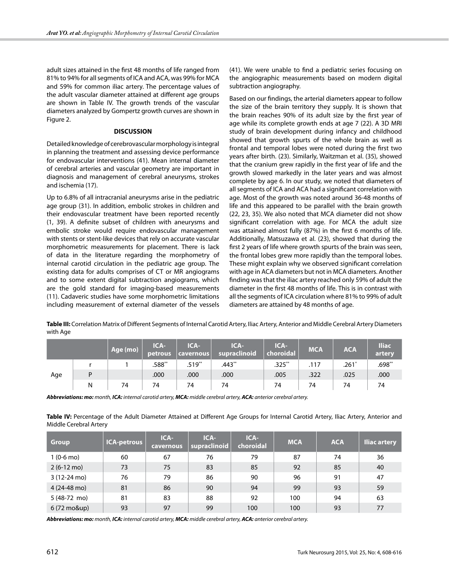adult sizes attained in the first 48 months of life ranged from 81% to 94% for all segments of ICA and ACA, was 99% for MCA and 59% for common iliac artery. The percentage values of the adult vascular diameter attained at different age groups are shown in Table IV. The growth trends of the vascular diameters analyzed by Gompertz growth curves are shown in Figure 2.

## **DISCUSSION**

Detailed knowledge of cerebrovascular morphology is integral in planning the treatment and assessing device performance for endovascular interventions (41). Mean internal diameter of cerebral arteries and vascular geometry are important in diagnosis and management of cerebral aneurysms, strokes and ischemia (17).

Up to 6.8% of all intracranial aneurysms arise in the pediatric age group (31). In addition, embolic strokes in children and their endovascular treatment have been reported recently (1, 39). A definite subset of children with aneurysms and embolic stroke would require endovascular management with stents or stent-like devices that rely on accurate vascular morphometric measurements for placement. There is lack of data in the literature regarding the morphometry of internal carotid circulation in the pediatric age group. The existing data for adults comprises of CT or MR angiograms and to some extent digital subtraction angiograms, which are the gold standard for imaging-based measurements (11). Cadaveric studies have some morphometric limitations including measurement of external diameter of the vessels (41). We were unable to find a pediatric series focusing on the angiographic measurements based on modern digital subtraction angiography.

Based on our findings, the arterial diameters appear to follow the size of the brain territory they supply. It is shown that the brain reaches 90% of its adult size by the first year of age while its complete growth ends at age 7 (22). A 3D MRI study of brain development during infancy and childhood showed that growth spurts of the whole brain as well as frontal and temporal lobes were noted during the first two years after birth. (23). Similarly, Waitzman et al. (35), showed that the cranium grew rapidly in the first year of life and the growth slowed markedly in the later years and was almost complete by age 6. In our study, we noted that diameters of all segments of ICA and ACA had a significant correlation with age. Most of the growth was noted around 36-48 months of life and this appeared to be parallel with the brain growth (22, 23, 35). We also noted that MCA diameter did not show significant correlation with age. For MCA the adult size was attained almost fully (87%) in the first 6 months of life. Additionally, Matsuzawa et al. (23), showed that during the first 2 years of life where growth spurts of the brain was seen, the frontal lobes grew more rapidly than the temporal lobes. These might explain why we observed significant correlation with age in ACA diameters but not in MCA diameters. Another finding was that the iliac artery reached only 59% of adult the diameter in the first 48 months of life. This is in contrast with all the segments of ICA circulation where 81% to 99% of adult diameters are attained by 48 months of age.

**Table III:** Correlation Matrix of Different Segments of Internal Carotid Artery, Iliac Artery, Anterior and Middle Cerebral Artery Diameters with Age

|     |   | Age (mo) | ICA-<br>petrous | ICA-<br>$  $ cavernous $  $ | ICA-<br>supraclinoid | ICA-<br>$\vert$ choroidal $\vert$ | <b>MCA</b> | <b>ACA</b> | <b>Iliac</b><br>artery |
|-----|---|----------|-----------------|-----------------------------|----------------------|-----------------------------------|------------|------------|------------------------|
| Age |   |          | $.588**$        | $.519**$                    | $.443**$             | $.325***$                         | .117       | $.261*$    | $.698**$               |
|     | D |          | .000            | .000                        | .000                 | .005                              | .322       | .025       | .000                   |
|     | Ν | 74       | 74              | 74                          | 74                   | 74                                | 74         | 74         | 74                     |

*Abbreviations: mo: month, ICA: internal carotid artery, MCA: middle cerebral artery, ACA: anterior cerebral artery.*

**Table IV:** Percentage of the Adult Diameter Attained at Different Age Groups for Internal Carotid Artery, Iliac Artery, Anterior and Middle Cerebral Artery

| <b>Group</b>          | ICA-petrous | $ICA-$<br><b>cavernous</b> | ICA-<br>supraclinoid | ICA-<br>choroidal | <b>MCA</b> | <b>ACA</b> | <b>Iliac artery</b> |
|-----------------------|-------------|----------------------------|----------------------|-------------------|------------|------------|---------------------|
| $1(0-6 \text{ mo})$   | 60          | 67                         | 76                   | 79                | 87         | 74         | 36                  |
| $2(6-12 \text{ mo})$  | 73          | 75                         | 83                   | 85                | 92         | 85         | 40                  |
| $3(12-24 \text{ mo})$ | 76          | 79                         | 86                   | 90                | 96         | 91         | 47                  |
| 4 (24-48 mo)          | 81          | 86                         | 90                   | 94                | 99         | 93         | 59                  |
| $5(48-72 \text{ mo})$ | 81          | 83                         | 88                   | 92                | 100        | 94         | 63                  |
| 6 (72 mo&up)          | 93          | 97                         | 99                   | 100               | 100        | 93         | 77                  |

*Abbreviations: mo: month, ICA: internal carotid artery, MCA: middle cerebral artery, ACA: anterior cerebral artery.*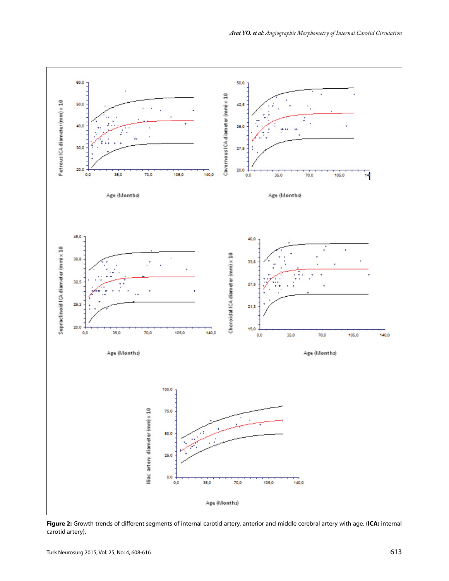

**Figure 2:** Growth trends of different segments of internal carotid artery, anterior and middle cerebral artery with age. (**ICA:** internal carotid artery).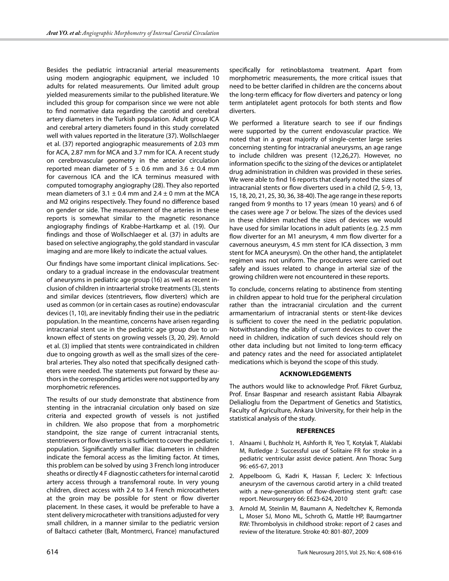Besides the pediatric intracranial arterial measurements using modern angiographic equipment, we included 10 adults for related measurements. Our limited adult group yielded measurements similar to the published literature. We included this group for comparison since we were not able to find normative data regarding the carotid and cerebral artery diameters in the Turkish population. Adult group ICA and cerebral artery diameters found in this study correlated well with values reported in the literature (37). Wollschlaeger et al. (37) reported angiographic measurements of 2.03 mm for ACA, 2.87 mm for MCA and 3.7 mm for ICA. A recent study on cerebrovascular geometry in the anterior circulation reported mean diameter of  $5 \pm 0.6$  mm and  $3.6 \pm 0.4$  mm for cavernous ICA and the ICA terminus measured with computed tomography angiography (28). They also reported mean diameters of 3.1  $\pm$  0.4 mm and 2.4  $\pm$  0 mm at the MCA and M2 origins respectively. They found no difference based on gender or side. The measurement of the arteries in these reports is somewhat similar to the magnetic resonance angiography findings of Krabbe-Hartkamp et al. (19). Our findings and those of Wollschlaeger et al. (37) in adults are based on selective angiography, the gold standard in vascular imaging and are more likely to indicate the actual values.

Our findings have some important clinical implications. Secondary to a gradual increase in the endovascular treatment of aneurysms in pediatric age group (16) as well as recent inclusion of children in intraarterial stroke treatments (3), stents and similar devices (stentrievers, flow diverters) which are used as common (or in certain cases as routine) endovascular devices (1, 10), are inevitably finding their use in the pediatric population. In the meantime, concerns have arisen regarding intracranial stent use in the pediatric age group due to unknown effect of stents on growing vessels (3, 20, 29). Arnold et al. (3) implied that stents were contraindicated in children due to ongoing growth as well as the small sizes of the cerebral arteries. They also noted that specifically designed catheters were needed. The statements put forward by these authors in the corresponding articles were not supported by any morphometric references.

The results of our study demonstrate that abstinence from stenting in the intracranial circulation only based on size criteria and expected growth of vessels is not justified in children. We also propose that from a morphometric standpoint, the size range of current intracranial stents, stentrievers or flow diverters is sufficient to cover the pediatric population. Significantly smaller iliac diameters in children indicate the femoral access as the limiting factor. At times, this problem can be solved by using 3 French long introducer sheaths or directly 4 F diagnostic catheters for internal carotid artery access through a transfemoral route. In very young children, direct access with 2.4 to 3.4 French microcatheters at the groin may be possible for stent or flow diverter placement. In these cases, it would be preferable to have a stent delivery microcatheter with transitions adjusted for very small children, in a manner similar to the pediatric version of Baltacci catheter (Balt, Montmerci, France) manufactured

specifically for retinoblastoma treatment. Apart from morphometric measurements, the more critical issues that need to be better clarified in children are the concerns about the long-term efficacy for flow diverters and patency or long term antiplatelet agent protocols for both stents and flow diverters.

We performed a literature search to see if our findings were supported by the current endovascular practice. We noted that in a great majority of single-center large series concerning stenting for intracranial aneurysms, an age range to include children was present (12,26,27). However, no information specific to the sizing of the devices or antiplatelet drug administration in children was provided in these series. We were able to find 16 reports that clearly noted the sizes of intracranial stents or flow diverters used in a child (2, 5-9, 13, 15, 18, 20, 21, 25, 30, 36, 38-40). The age range in these reports ranged from 9 months to 17 years (mean 10 years) and 6 of the cases were age 7 or below. The sizes of the devices used in these children matched the sizes of devices we would have used for similar locations in adult patients (e.g. 2.5 mm flow diverter for an M1 aneurysm, 4 mm flow diverter for a cavernous aneurysm, 4.5 mm stent for ICA dissection, 3 mm stent for MCA aneurysm). On the other hand, the antiplatelet regimen was not uniform. The procedures were carried out safely and issues related to change in arterial size of the growing children were not encountered in these reports.

To conclude, concerns relating to abstinence from stenting in children appear to hold true for the peripheral circulation rather than the intracranial circulation and the current armamentarium of intracranial stents or stent-like devices is sufficient to cover the need in the pediatric population. Notwithstanding the ability of current devices to cover the need in children, indication of such devices should rely on other data including but not limited to long-term efficacy and patency rates and the need for associated antiplatelet medications which is beyond the scope of this study.

# **Acknowledgements**

The authors would like to acknowledge Prof. Fikret Gurbuz, Prof. Ensar Baspınar and research assistant Rabia Albayrak Delialioglu from the Department of Genetics and Statistics, Faculty of Agriculture, Ankara University, for their help in the statistical analysis of the study.

## **REFERENCES**

- 1. Alnaami I, Buchholz H, Ashforth R, Yeo T, Kotylak T, Alaklabi M, Rutledge J: Successful use of Solitaire FR for stroke in a pediatric ventricular assist device patient. Ann Thorac Surg 96: e65-67, 2013
- 2. Appelboom G, Kadri K, Hassan F, Leclerc X: Infectious aneurysm of the cavernous carotid artery in a child treated with a new-generation of flow-diverting stent graft: case report. Neurosurgery 66: E623-624, 2010
- 3. Arnold M, Steinlin M, Baumann A, Nedeltchev K, Remonda L, Moser SJ, Mono ML, Schroth G, Mattle HP, Baumgartner RW: Thrombolysis in childhood stroke: report of 2 cases and review of the literature. Stroke 40: 801-807, 2009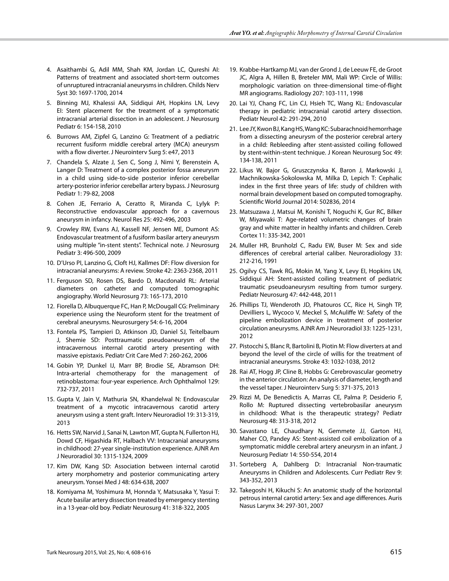- 4. Asaithambi G, Adil MM, Shah KM, Jordan LC, Qureshi AI: Patterns of treatment and associated short-term outcomes of unruptured intracranial aneurysms in children. Childs Nerv Syst 30: 1697-1700, 2014
- 5. Binning MJ, Khalessi AA, Siddiqui AH, Hopkins LN, Levy EI: Stent placement for the treatment of a symptomatic intracranial arterial dissection in an adolescent. J Neurosurg Pediatr 6: 154-158, 2010
- 6. Burrows AM, Zipfel G, Lanzino G: Treatment of a pediatric recurrent fusiform middle cerebral artery (MCA) aneurysm with a flow diverter. J Neurointerv Surg 5: e47, 2013
- 7. Chandela S, Alzate J, Sen C, Song J, Nimi Y, Berenstein A, Langer D: Treatment of a complex posterior fossa aneurysm in a child using side-to-side posterior inferior cerebellar artery-posterior inferior cerebellar artery bypass. J Neurosurg Pediatr 1: 79-82, 2008
- 8. Cohen JE, Ferrario A, Ceratto R, Miranda C, Lylyk P: Reconstructive endovascular approach for a cavernous aneurysm in infancy. Neurol Res 25: 492-496, 2003
- 9. Crowley RW, Evans AJ, Kassell NF, Jensen ME, Dumont AS: Endovascular treatment of a fusiform basilar artery aneurysm using multiple "in-stent stents". Technical note. J Neurosurg Pediatr 3: 496-500, 2009
- 10. D'Urso PI, Lanzino G, Cloft HJ, Kallmes DF: Flow diversion for intracranial aneurysms: A review. Stroke 42: 2363-2368, 2011
- 11. Ferguson SD, Rosen DS, Bardo D, Macdonald RL: Arterial diameters on catheter and computed tomographic angiography. World Neurosurg 73: 165-173, 2010
- 12. Fiorella D, Albuquerque FC, Han P, McDougall CG: Preliminary experience using the Neuroform stent for the treatment of cerebral aneurysms. Neurosurgery 54: 6-16, 2004
- 13. Fontela PS, Tampieri D, Atkinson JD, Daniel SJ, Teitelbaum J, Shemie SD: Posttraumatic pseudoaneurysm of the intracavernous internal carotid artery presenting with massive epistaxis. Pediatr Crit Care Med 7: 260-262, 2006
- 14. Gobin YP, Dunkel IJ, Marr BP, Brodie SE, Abramson DH: Intra-arterial chemotherapy for the management of retinoblastoma: four-year experience. Arch Ophthalmol 129: 732-737, 2011
- 15. Gupta V, Jain V, Mathuria SN, Khandelwal N: Endovascular treatment of a mycotic intracavernous carotid artery aneurysm using a stent graft. Interv Neuroradiol 19: 313-319, 2013
- 16. Hetts SW, Narvid J, Sanai N, Lawton MT, Gupta N, Fullerton HJ, Dowd CF, Higashida RT, Halbach VV: Intracranial aneurysms in childhood: 27-year single-institution experience. AJNR Am J Neuroradiol 30: 1315-1324, 2009
- 17. Kim DW, Kang SD: Association between internal carotid artery morphometry and posterior communicating artery aneurysm. Yonsei Med J 48: 634-638, 2007
- 18. Komiyama M, Yoshimura M, Honnda Y, Matsusaka Y, Yasui T: Acute basilar artery dissection treated by emergency stenting in a 13-year-old boy. Pediatr Neurosurg 41: 318-322, 2005
- 19. Krabbe-Hartkamp MJ, van der Grond J, de Leeuw FE, de Groot JC, Algra A, Hillen B, Breteler MM, Mali WP: Circle of Willis: morphologic variation on three-dimensional time-of-flight MR angiograms. Radiology 207: 103-111, 1998
- 20. Lai YJ, Chang FC, Lin CJ, Hsieh TC, Wang KL: Endovascular therapy in pediatric intracranial carotid artery dissection. Pediatr Neurol 42: 291-294, 2010
- 21. Lee JY, Kwon BJ, Kang HS, Wang KC: Subarachnoid hemorrhage from a dissecting aneurysm of the posterior cerebral artery in a child: Rebleeding after stent-assisted coiling followed by stent-within-stent technique. J Korean Neurosurg Soc 49: 134-138, 2011
- 22. Likus W, Bajor G, Gruszczynska K, Baron J, Markowski J, Machnikowska-Sokolowska M, Milka D, Lepich T: Cephalic index in the first three years of life: study of children with normal brain development based on computed tomography. Scientific World Journal 2014: 502836, 2014
- 23. Matsuzawa J, Matsui M, Konishi T, Noguchi K, Gur RC, Bilker W, Miyawaki T: Age-related volumetric changes of brain gray and white matter in healthy infants and children. Cereb Cortex 11: 335-342, 2001
- 24. Muller HR, Brunholzl C, Radu EW, Buser M: Sex and side differences of cerebral arterial caliber. Neuroradiology 33: 212-216, 1991
- 25. Ogilvy CS, Tawk RG, Mokin M, Yang X, Levy EI, Hopkins LN, Siddiqui AH: Stent-assisted coiling treatment of pediatric traumatic pseudoaneurysm resulting from tumor surgery. Pediatr Neurosurg 47: 442-448, 2011
- 26. Phillips TJ, Wenderoth JD, Phatouros CC, Rice H, Singh TP, Devilliers L, Wycoco V, Meckel S, McAuliffe W: Safety of the pipeline embolization device in treatment of posterior circulation aneurysms. AJNR Am J Neuroradiol 33: 1225-1231, 2012
- 27. Pistocchi S, Blanc R, Bartolini B, Piotin M: Flow diverters at and beyond the level of the circle of willis for the treatment of intracranial aneurysms. Stroke 43: 1032-1038, 2012
- 28. Rai AT, Hogg JP, Cline B, Hobbs G: Cerebrovascular geometry in the anterior circulation: An analysis of diameter, length and the vessel taper. J Neurointerv Surg 5: 371-375, 2013
- 29. Rizzi M, De Benedictis A, Marras CE, Palma P, Desiderio F, Rollo M: Ruptured dissecting vertebrobasilar aneurysm in childhood: What is the therapeutic strategy? Pediatr Neurosurg 48: 313-318, 2012
- 30. Savastano LE, Chaudhary N, Gemmete JJ, Garton HJ, Maher CO, Pandey AS: Stent-assisted coil embolization of a symptomatic middle cerebral artery aneurysm in an infant. J Neurosurg Pediatr 14: 550-554, 2014
- 31. Sorteberg A, Dahlberg D: Intracranial Non-traumatic Aneurysms in Children and Adolescents. Curr Pediatr Rev 9: 343-352, 2013
- 32. Takegoshi H, Kikuchi S: An anatomic study of the horizontal petrous internal carotid artery: Sex and age differences. Auris Nasus Larynx 34: 297-301, 2007